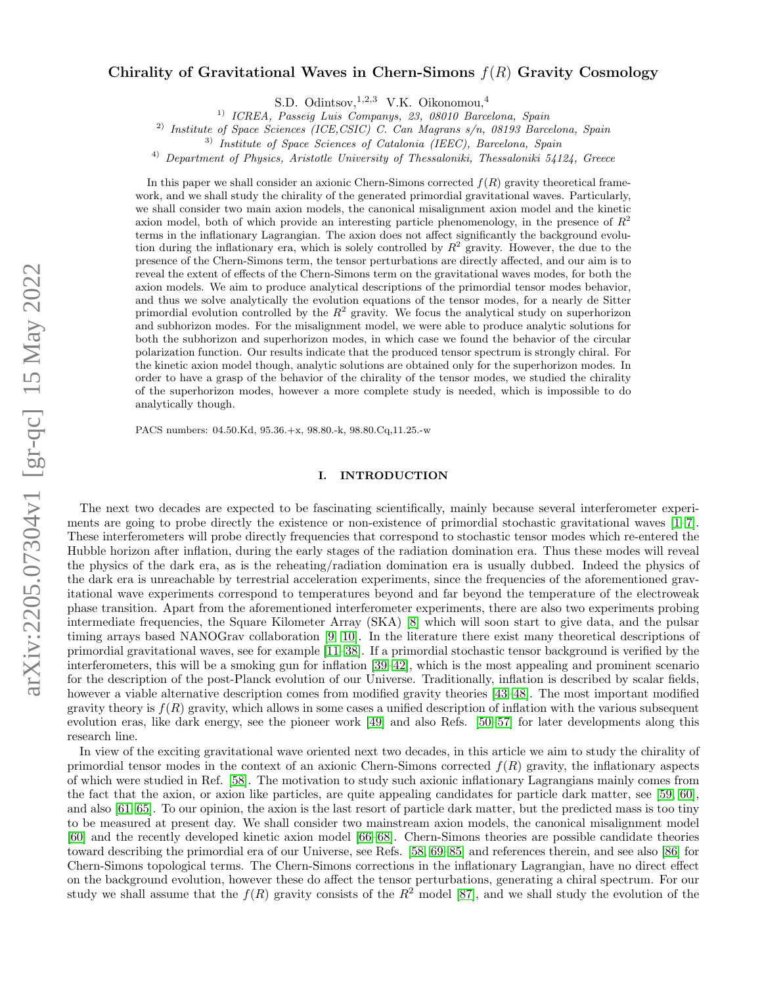# Chirality of Gravitational Waves in Chern-Simons  $f(R)$  Gravity Cosmology

S.D. Odintsov, <sup>1,2,3</sup> V.K. Oikonomou, <sup>4</sup>

1) ICREA, Passeig Luis Companys, 23, 08010 Barcelona, Spain

<sup>2)</sup> Institute of Space Sciences (ICE,CSIC) C. Can Magrans s/n, 08193 Barcelona, Spain

3) Institute of Space Sciences of Catalonia (IEEC), Barcelona, Spain

4) Department of Physics, Aristotle University of Thessaloniki, Thessaloniki 54124, Greece

In this paper we shall consider an axionic Chern-Simons corrected  $f(R)$  gravity theoretical framework, and we shall study the chirality of the generated primordial gravitational waves. Particularly, we shall consider two main axion models, the canonical misalignment axion model and the kinetic axion model, both of which provide an interesting particle phenomenology, in the presence of  $R^2$ terms in the inflationary Lagrangian. The axion does not affect significantly the background evolution during the inflationary era, which is solely controlled by  $R^2$  gravity. However, the due to the presence of the Chern-Simons term, the tensor perturbations are directly affected, and our aim is to reveal the extent of effects of the Chern-Simons term on the gravitational waves modes, for both the axion models. We aim to produce analytical descriptions of the primordial tensor modes behavior, and thus we solve analytically the evolution equations of the tensor modes, for a nearly de Sitter primordial evolution controlled by the  $R^2$  gravity. We focus the analytical study on superhorizon and subhorizon modes. For the misalignment model, we were able to produce analytic solutions for both the subhorizon and superhorizon modes, in which case we found the behavior of the circular polarization function. Our results indicate that the produced tensor spectrum is strongly chiral. For the kinetic axion model though, analytic solutions are obtained only for the superhorizon modes. In order to have a grasp of the behavior of the chirality of the tensor modes, we studied the chirality of the superhorizon modes, however a more complete study is needed, which is impossible to do analytically though.

PACS numbers: 04.50.Kd, 95.36.+x, 98.80.-k, 98.80.Cq,11.25.-w

### I. INTRODUCTION

The next two decades are expected to be fascinating scientifically, mainly because several interferometer experiments are going to probe directly the existence or non-existence of primordial stochastic gravitational waves [\[1–](#page-10-0)[7\]](#page-11-0). These interferometers will probe directly frequencies that correspond to stochastic tensor modes which re-entered the Hubble horizon after inflation, during the early stages of the radiation domination era. Thus these modes will reveal the physics of the dark era, as is the reheating/radiation domination era is usually dubbed. Indeed the physics of the dark era is unreachable by terrestrial acceleration experiments, since the frequencies of the aforementioned gravitational wave experiments correspond to temperatures beyond and far beyond the temperature of the electroweak phase transition. Apart from the aforementioned interferometer experiments, there are also two experiments probing intermediate frequencies, the Square Kilometer Array (SKA) [\[8\]](#page-11-1) which will soon start to give data, and the pulsar timing arrays based NANOGrav collaboration [\[9,](#page-11-2) [10\]](#page-11-3). In the literature there exist many theoretical descriptions of primordial gravitational waves, see for example [\[11–](#page-11-4)[38\]](#page-11-5). If a primordial stochastic tensor background is verified by the interferometers, this will be a smoking gun for inflation [\[39–](#page-12-0)[42\]](#page-12-1), which is the most appealing and prominent scenario for the description of the post-Planck evolution of our Universe. Traditionally, inflation is described by scalar fields, however a viable alternative description comes from modified gravity theories [\[43–](#page-12-2)[48\]](#page-12-3). The most important modified gravity theory is  $f(R)$  gravity, which allows in some cases a unified description of inflation with the various subsequent evolution eras, like dark energy, see the pioneer work [\[49\]](#page-12-4) and also Refs. [\[50–](#page-12-5)[57\]](#page-12-6) for later developments along this research line.

In view of the exciting gravitational wave oriented next two decades, in this article we aim to study the chirality of primordial tensor modes in the context of an axionic Chern-Simons corrected  $f(R)$  gravity, the inflationary aspects of which were studied in Ref. [\[58\]](#page-12-7). The motivation to study such axionic inflationary Lagrangians mainly comes from the fact that the axion, or axion like particles, are quite appealing candidates for particle dark matter, see [\[59,](#page-12-8) [60\]](#page-12-9), and also [\[61–](#page-12-10)[65\]](#page-12-11). To our opinion, the axion is the last resort of particle dark matter, but the predicted mass is too tiny to be measured at present day. We shall consider two mainstream axion models, the canonical misalignment model [\[60\]](#page-12-9) and the recently developed kinetic axion model [\[66–](#page-12-12)[68\]](#page-12-13). Chern-Simons theories are possible candidate theories toward describing the primordial era of our Universe, see Refs. [\[58,](#page-12-7) [69–](#page-12-14)[85\]](#page-13-0) and references therein, and see also [\[86\]](#page-13-1) for Chern-Simons topological terms. The Chern-Simons corrections in the inflationary Lagrangian, have no direct effect on the background evolution, however these do affect the tensor perturbations, generating a chiral spectrum. For our study we shall assume that the  $f(R)$  gravity consists of the  $R^2$  model [\[87\]](#page-13-2), and we shall study the evolution of the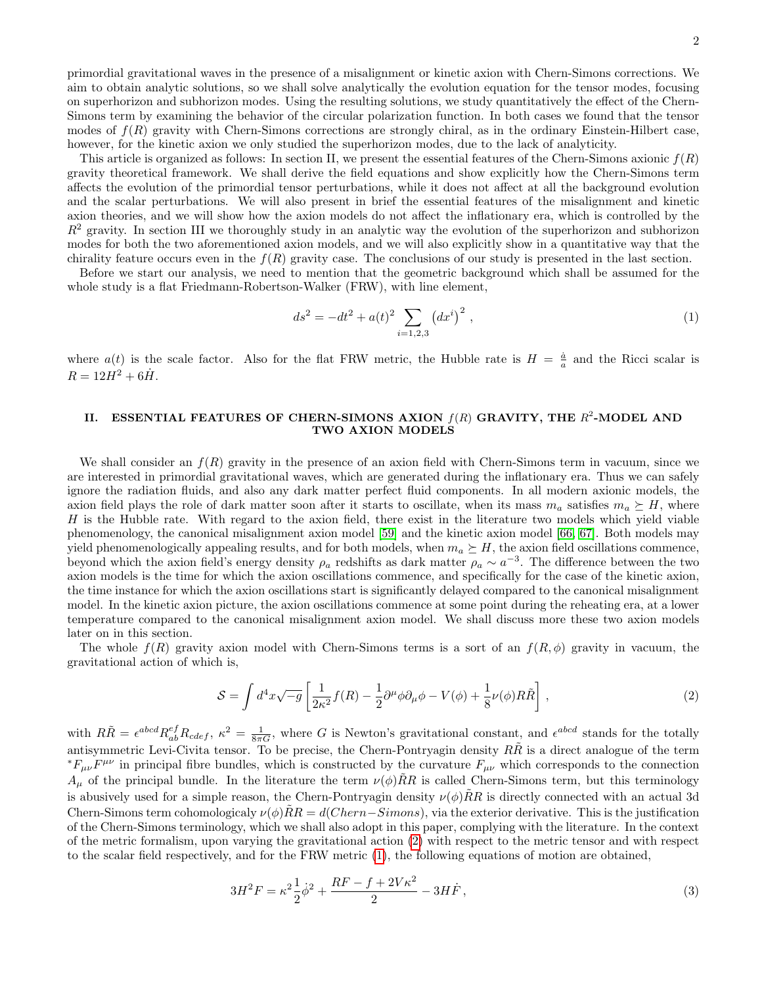primordial gravitational waves in the presence of a misalignment or kinetic axion with Chern-Simons corrections. We aim to obtain analytic solutions, so we shall solve analytically the evolution equation for the tensor modes, focusing on superhorizon and subhorizon modes. Using the resulting solutions, we study quantitatively the effect of the Chern-Simons term by examining the behavior of the circular polarization function. In both cases we found that the tensor modes of  $f(R)$  gravity with Chern-Simons corrections are strongly chiral, as in the ordinary Einstein-Hilbert case, however, for the kinetic axion we only studied the superhorizon modes, due to the lack of analyticity.

This article is organized as follows: In section II, we present the essential features of the Chern-Simons axionic  $f(R)$ gravity theoretical framework. We shall derive the field equations and show explicitly how the Chern-Simons term affects the evolution of the primordial tensor perturbations, while it does not affect at all the background evolution and the scalar perturbations. We will also present in brief the essential features of the misalignment and kinetic axion theories, and we will show how the axion models do not affect the inflationary era, which is controlled by the  $R<sup>2</sup>$  gravity. In section III we thoroughly study in an analytic way the evolution of the superhorizon and subhorizon modes for both the two aforementioned axion models, and we will also explicitly show in a quantitative way that the chirality feature occurs even in the  $f(R)$  gravity case. The conclusions of our study is presented in the last section.

Before we start our analysis, we need to mention that the geometric background which shall be assumed for the whole study is a flat Friedmann-Robertson-Walker (FRW), with line element,

<span id="page-1-1"></span>
$$
ds^{2} = -dt^{2} + a(t)^{2} \sum_{i=1,2,3} (dx^{i})^{2} , \qquad (1)
$$

where  $a(t)$  is the scale factor. Also for the flat FRW metric, the Hubble rate is  $H = \frac{\dot{a}}{a}$  and the Ricci scalar is  $R = 12H^2 + 6\dot{H}$ .

## II. ESSENTIAL FEATURES OF CHERN-SIMONS AXION  $f(R)$  GRAVITY, THE  $R^2$ -MODEL AND TWO AXION MODELS

We shall consider an  $f(R)$  gravity in the presence of an axion field with Chern-Simons term in vacuum, since we are interested in primordial gravitational waves, which are generated during the inflationary era. Thus we can safely ignore the radiation fluids, and also any dark matter perfect fluid components. In all modern axionic models, the axion field plays the role of dark matter soon after it starts to oscillate, when its mass  $m_a$  satisfies  $m_a \succeq H$ , where  $H$  is the Hubble rate. With regard to the axion field, there exist in the literature two models which yield viable phenomenology, the canonical misalignment axion model [\[59\]](#page-12-8) and the kinetic axion model [\[66,](#page-12-12) [67\]](#page-12-15). Both models may yield phenomenologically appealing results, and for both models, when  $m_a \succeq H$ , the axion field oscillations commence, beyond which the axion field's energy density  $\rho_a$  redshifts as dark matter  $\rho_a \sim a^{-3}$ . The difference between the two axion models is the time for which the axion oscillations commence, and specifically for the case of the kinetic axion, the time instance for which the axion oscillations start is significantly delayed compared to the canonical misalignment model. In the kinetic axion picture, the axion oscillations commence at some point during the reheating era, at a lower temperature compared to the canonical misalignment axion model. We shall discuss more these two axion models later on in this section.

The whole  $f(R)$  gravity axion model with Chern-Simons terms is a sort of an  $f(R, \phi)$  gravity in vacuum, the gravitational action of which is,

<span id="page-1-0"></span>
$$
S = \int d^4x \sqrt{-g} \left[ \frac{1}{2\kappa^2} f(R) - \frac{1}{2} \partial^\mu \phi \partial_\mu \phi - V(\phi) + \frac{1}{8} \nu(\phi) R \tilde{R} \right],\tag{2}
$$

with  $R\tilde{R} = \epsilon^{abcd} R^{ef}_{ab} R_{cdef}$ ,  $\kappa^2 = \frac{1}{8\pi G}$ , where G is Newton's gravitational constant, and  $\epsilon^{abcd}$  stands for the totally antisymmetric Levi-Civita tensor. To be precise, the Chern-Pontryagin density  $R\tilde{R}$  is a direct analogue of the term  ${}^*F_{\mu\nu}\overline{F}^{\mu\nu}$  in principal fibre bundles, which is constructed by the curvature  $F_{\mu\nu}$  which corresponds to the connection  $A_\mu$  of the principal bundle. In the literature the term  $\nu(\phi)\hat{R}R$  is called Chern-Simons term, but this terminology is abusively used for a simple reason, the Chern-Pontryagin density  $\nu(\phi)\tilde{R}R$  is directly connected with an actual 3d Chern-Simons term cohomologicaly  $\nu(\phi)\tilde{R}R = d(Chern-Simons)$ , via the exterior derivative. This is the justification of the Chern-Simons terminology, which we shall also adopt in this paper, complying with the literature. In the context of the metric formalism, upon varying the gravitational action [\(2\)](#page-1-0) with respect to the metric tensor and with respect to the scalar field respectively, and for the FRW metric [\(1\)](#page-1-1), the following equations of motion are obtained,

<span id="page-1-2"></span>
$$
3H^2F = \kappa^2 \frac{1}{2} \dot{\phi}^2 + \frac{RF - f + 2V\kappa^2}{2} - 3H\dot{F},\tag{3}
$$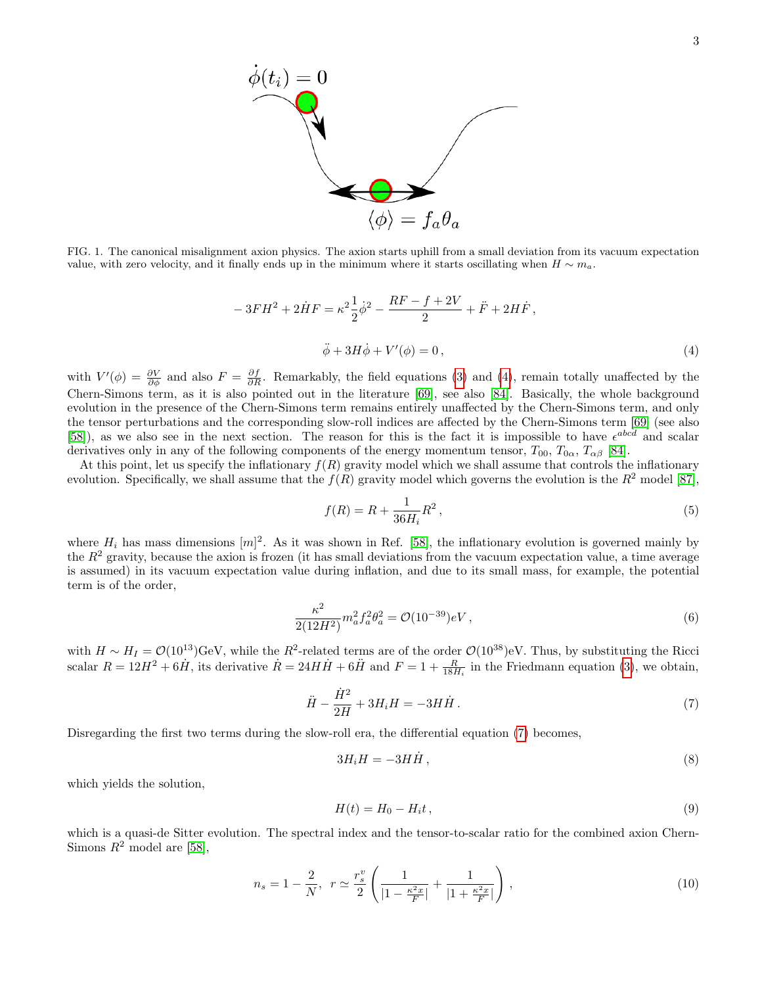

<span id="page-2-2"></span>FIG. 1. The canonical misalignment axion physics. The axion starts uphill from a small deviation from its vacuum expectation value, with zero velocity, and it finally ends up in the minimum where it starts oscillating when  $H \sim m_a$ .

<span id="page-2-0"></span>
$$
-3FH^{2} + 2\dot{H}F = \kappa^{2}\frac{1}{2}\dot{\phi}^{2} - \frac{RF - f + 2V}{2} + \ddot{F} + 2H\dot{F},
$$
  

$$
\ddot{\phi} + 3H\dot{\phi} + V'(\phi) = 0,
$$
 (4)

with  $V'(\phi) = \frac{\partial V}{\partial \phi}$  and also  $F = \frac{\partial f}{\partial R}$ . Remarkably, the field equations [\(3\)](#page-1-2) and [\(4\)](#page-2-0), remain totally unaffected by the Chern-Simons term, as it is also pointed out in the literature [\[69\]](#page-12-14), see also [\[84\]](#page-13-3). Basically, the whole background evolution in the presence of the Chern-Simons term remains entirely unaffected by the Chern-Simons term, and only the tensor perturbations and the corresponding slow-roll indices are affected by the Chern-Simons term [\[69\]](#page-12-14) (see also [\[58\]](#page-12-7)), as we also see in the next section. The reason for this is the fact it is impossible to have  $\epsilon^{abcd}$  and scalar derivatives only in any of the following components of the energy momentum tensor,  $T_{00}$ ,  $T_{0\alpha}$ ,  $T_{\alpha\beta}$  [\[84\]](#page-13-3).

At this point, let us specify the inflationary  $f(R)$  gravity model which we shall assume that controls the inflationary evolution. Specifically, we shall assume that the  $f(R)$  gravity model which governs the evolution is the  $R^2$  model [\[87\]](#page-13-2),

$$
f(R) = R + \frac{1}{36H_i}R^2,
$$
\n(5)

where  $H_i$  has mass dimensions  $[m]^2$ . As it was shown in Ref. [\[58\]](#page-12-7), the inflationary evolution is governed mainly by the  $R<sup>2</sup>$  gravity, because the axion is frozen (it has small deviations from the vacuum expectation value, a time average is assumed) in its vacuum expectation value during inflation, and due to its small mass, for example, the potential term is of the order,

$$
\frac{\kappa^2}{2(12H^2)} m_a^2 f_a^2 \theta_a^2 = \mathcal{O}(10^{-39}) eV , \qquad (6)
$$

with  $H \sim H_I = \mathcal{O}(10^{13})\text{GeV}$ , while the  $R^2$ -related terms are of the order  $\mathcal{O}(10^{38})$ eV. Thus, by substituting the Ricci scalar  $R = 12H^2 + 6\dot{H}$ , its derivative  $\dot{R} = 24H\dot{H} + 6\ddot{H}$  and  $F = 1 + \frac{R}{18H_i}$  in the Friedmann equation [\(3\)](#page-1-2), we obtain,

<span id="page-2-1"></span>
$$
\ddot{H} - \frac{\dot{H}^2}{2H} + 3H_iH = -3H\dot{H}.
$$
\n(7)

Disregarding the first two terms during the slow-roll era, the differential equation [\(7\)](#page-2-1) becomes,

$$
3H_i H = -3H\dot{H},\tag{8}
$$

which yields the solution,

<span id="page-2-3"></span>
$$
H(t) = H_0 - H_i t, \qquad (9)
$$

which is a quasi-de Sitter evolution. The spectral index and the tensor-to-scalar ratio for the combined axion Chern-Simons  $R^2$  model are [\[58\]](#page-12-7),

$$
n_s = 1 - \frac{2}{N}, \ \ r \simeq \frac{r_s^v}{2} \left( \frac{1}{|1 - \frac{\kappa^2 x}{F}|} + \frac{1}{|1 + \frac{\kappa^2 x}{F}|} \right), \tag{10}
$$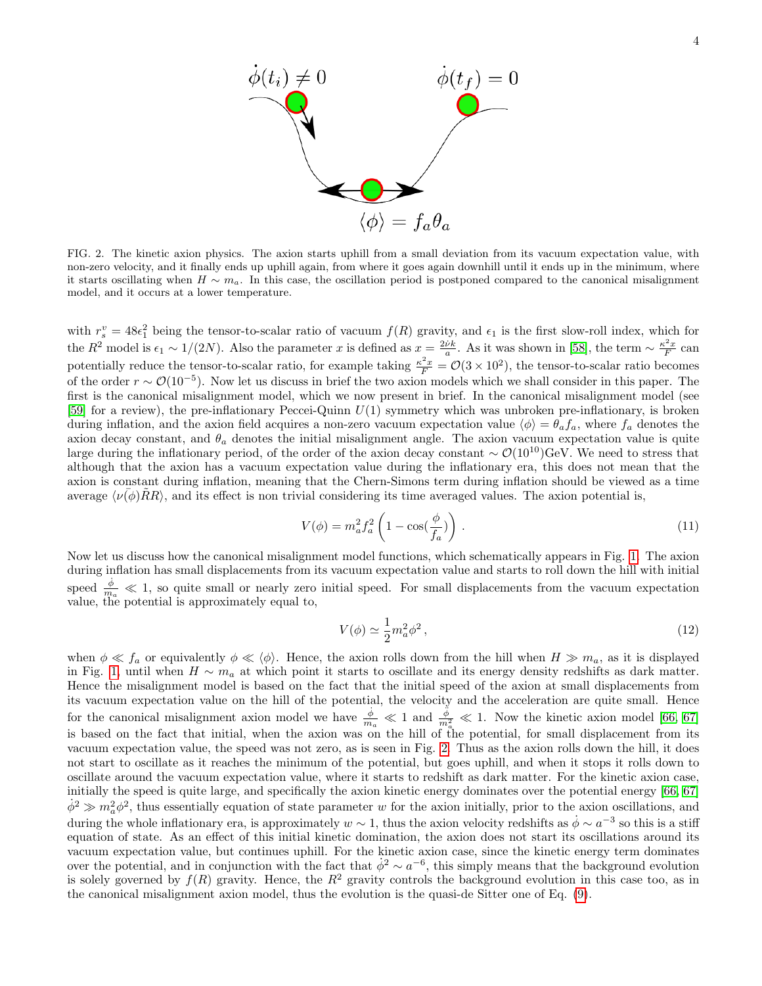

<span id="page-3-0"></span>FIG. 2. The kinetic axion physics. The axion starts uphill from a small deviation from its vacuum expectation value, with non-zero velocity, and it finally ends up uphill again, from where it goes again downhill until it ends up in the minimum, where it starts oscillating when  $H \sim m_a$ . In this case, the oscillation period is postponed compared to the canonical misalignment model, and it occurs at a lower temperature.

with  $r_s^v = 48\epsilon_1^2$  being the tensor-to-scalar ratio of vacuum  $f(R)$  gravity, and  $\epsilon_1$  is the first slow-roll index, which for the  $R^2$  model is  $\epsilon_1 \sim 1/(2N)$ . Also the parameter x is defined as  $x = \frac{2\nu k}{a}$ . As it was shown in [\[58\]](#page-12-7), the term  $\sim \frac{\kappa^2 x}{F}$  can potentially reduce the tensor-to-scalar ratio, for example taking  $\frac{\kappa^2 x}{F} = \mathcal{O}(3 \times 10^2)$ , the tensor-to-scalar ratio becomes of the order  $r \sim \mathcal{O}(10^{-5})$ . Now let us discuss in brief the two axion models which we shall consider in this paper. The first is the canonical misalignment model, which we now present in brief. In the canonical misalignment model (see [\[59\]](#page-12-8) for a review), the pre-inflationary Peccei-Quinn U(1) symmetry which was unbroken pre-inflationary, is broken during inflation, and the axion field acquires a non-zero vacuum expectation value  $\langle \phi \rangle = \theta_a f_a$ , where  $f_a$  denotes the axion decay constant, and  $\theta_a$  denotes the initial misalignment angle. The axion vacuum expectation value is quite large during the inflationary period, of the order of the axion decay constant  $\sim \mathcal{O}(10^{10})\text{GeV}$ . We need to stress that although that the axion has a vacuum expectation value during the inflationary era, this does not mean that the axion is constant during inflation, meaning that the Chern-Simons term during inflation should be viewed as a time average  $\langle \nu(\phi) \tilde{R}R \rangle$ , and its effect is non trivial considering its time averaged values. The axion potential is,

$$
V(\phi) = m_a^2 f_a^2 \left( 1 - \cos(\frac{\phi}{f_a}) \right). \tag{11}
$$

Now let us discuss how the canonical misalignment model functions, which schematically appears in Fig. [1.](#page-2-2) The axion during inflation has small displacements from its vacuum expectation value and starts to roll down the hill with initial speed  $\frac{\dot{\phi}}{m_a} \ll 1$ , so quite small or nearly zero initial speed. For small displacements from the vacuum expectation value, the potential is approximately equal to,

$$
V(\phi) \simeq \frac{1}{2}m_a^2 \phi^2 \,,\tag{12}
$$

when  $\phi \ll f_a$  or equivalently  $\phi \ll \langle \phi \rangle$ . Hence, the axion rolls down from the hill when  $H \gg m_a$ , as it is displayed in Fig. [1,](#page-2-2) until when  $H \sim m_a$  at which point it starts to oscillate and its energy density redshifts as dark matter. Hence the misalignment model is based on the fact that the initial speed of the axion at small displacements from its vacuum expectation value on the hill of the potential, the velocity and the acceleration are quite small. Hence for the canonical misalignment axion model we have  $\frac{\dot{\phi}}{m_a} \ll 1$  and  $\frac{\dot{\phi}}{m_a^2} \ll 1$ . Now the kinetic axion model [\[66,](#page-12-12) [67\]](#page-12-15) is based on the fact that initial, when the axion was on the hill of the potential, for small displacement from its vacuum expectation value, the speed was not zero, as is seen in Fig. [2.](#page-3-0) Thus as the axion rolls down the hill, it does not start to oscillate as it reaches the minimum of the potential, but goes uphill, and when it stops it rolls down to oscillate around the vacuum expectation value, where it starts to redshift as dark matter. For the kinetic axion case, initially the speed is quite large, and specifically the axion kinetic energy dominates over the potential energy [\[66,](#page-12-12) [67\]](#page-12-15)  $\dot{\phi}^2 \gg m_a^2 \phi^2$ , thus essentially equation of state parameter w for the axion initially, prior to the axion oscillations, and during the whole inflationary era, is approximately  $w \sim 1$ , thus the axion velocity redshifts as  $\dot{\phi} \sim a^{-3}$  so this is a stiff equation of state. As an effect of this initial kinetic domination, the axion does not start its oscillations around its vacuum expectation value, but continues uphill. For the kinetic axion case, since the kinetic energy term dominates over the potential, and in conjunction with the fact that  $\dot{\phi}^2 \sim a^{-6}$ , this simply means that the background evolution is solely governed by  $f(R)$  gravity. Hence, the  $R^2$  gravity controls the background evolution in this case too, as in the canonical misalignment axion model, thus the evolution is the quasi-de Sitter one of Eq. [\(9\)](#page-2-3).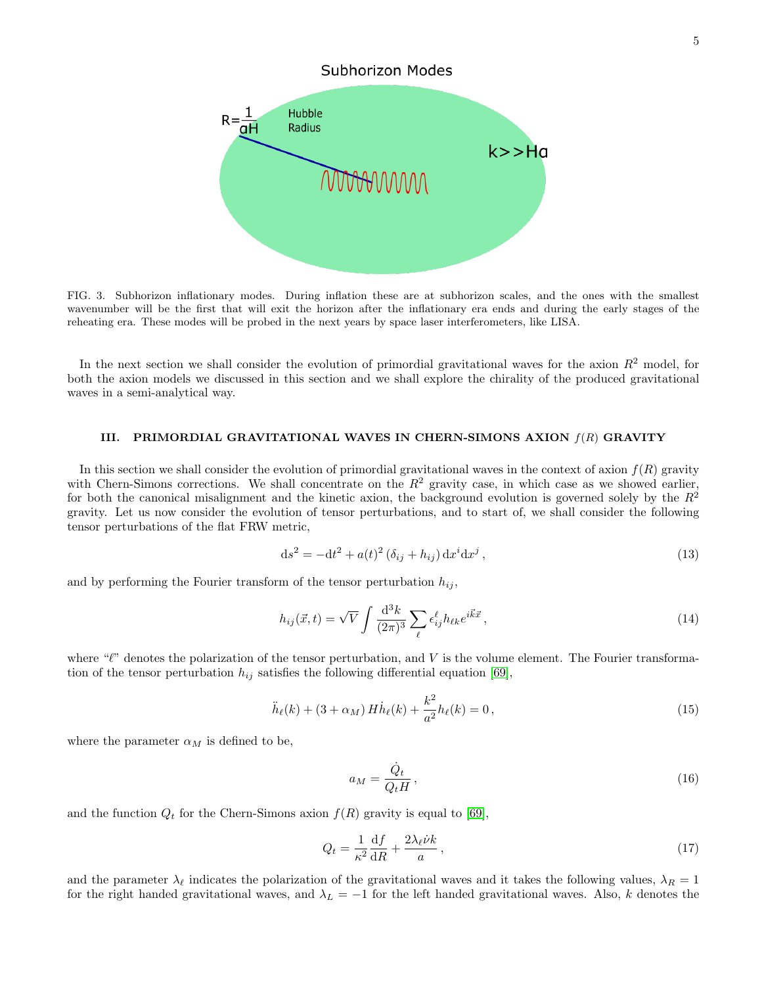

<span id="page-4-1"></span>FIG. 3. Subhorizon inflationary modes. During inflation these are at subhorizon scales, and the ones with the smallest wavenumber will be the first that will exit the horizon after the inflationary era ends and during the early stages of the reheating era. These modes will be probed in the next years by space laser interferometers, like LISA.

In the next section we shall consider the evolution of primordial gravitational waves for the axion  $R^2$  model, for both the axion models we discussed in this section and we shall explore the chirality of the produced gravitational waves in a semi-analytical way.

### III. PRIMORDIAL GRAVITATIONAL WAVES IN CHERN-SIMONS AXION  $f(R)$  GRAVITY

In this section we shall consider the evolution of primordial gravitational waves in the context of axion  $f(R)$  gravity with Chern-Simons corrections. We shall concentrate on the  $R^2$  gravity case, in which case as we showed earlier, for both the canonical misalignment and the kinetic axion, the background evolution is governed solely by the  $R^2$ gravity. Let us now consider the evolution of tensor perturbations, and to start of, we shall consider the following tensor perturbations of the flat FRW metric,

$$
ds^{2} = -dt^{2} + a(t)^{2} (\delta_{ij} + h_{ij}) dx^{i} dx^{j}, \qquad (13)
$$

and by performing the Fourier transform of the tensor perturbation  $h_{ij}$ ,

$$
h_{ij}(\vec{x},t) = \sqrt{V} \int \frac{\mathrm{d}^3 k}{(2\pi)^3} \sum_{\ell} \epsilon_{ij}^{\ell} h_{\ell k} e^{i\vec{k}\vec{x}},\tag{14}
$$

where " $\ell$ " denotes the polarization of the tensor perturbation, and V is the volume element. The Fourier transformation of the tensor perturbation  $h_{ij}$  satisfies the following differential equation [\[69\]](#page-12-14),

<span id="page-4-0"></span>
$$
\ddot{h}_{\ell}(k) + (3 + \alpha_M) H \dot{h}_{\ell}(k) + \frac{k^2}{a^2} h_{\ell}(k) = 0, \qquad (15)
$$

where the parameter  $\alpha_M$  is defined to be,

$$
a_M = \frac{\dot{Q}_t}{Q_t H},\tag{16}
$$

and the function  $Q_t$  for the Chern-Simons axion  $f(R)$  gravity is equal to [\[69\]](#page-12-14),

$$
Q_t = \frac{1}{\kappa^2} \frac{\mathrm{d}f}{\mathrm{d}R} + \frac{2\lambda_\ell \dot{\nu}k}{a},\tag{17}
$$

and the parameter  $\lambda_{\ell}$  indicates the polarization of the gravitational waves and it takes the following values,  $\lambda_R = 1$ for the right handed gravitational waves, and  $\lambda_L = -1$  for the left handed gravitational waves. Also, k denotes the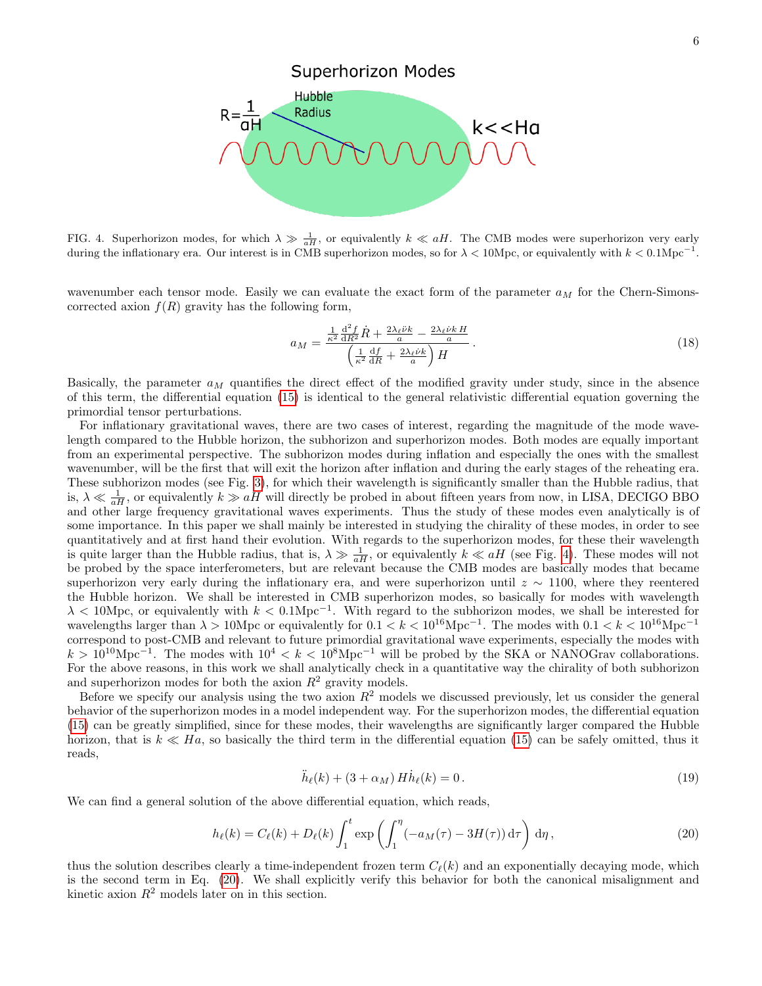

<span id="page-5-0"></span>FIG. 4. Superhorizon modes, for which  $\lambda \gg \frac{1}{aH}$ , or equivalently  $k \ll aH$ . The CMB modes were superhorizon very early during the inflationary era. Our interest is in CMB superhorizon modes, so for  $\lambda < 10$ Mpc, or equivalently with  $k < 0.1$ Mpc<sup>-1</sup>.

wavenumber each tensor mode. Easily we can evaluate the exact form of the parameter  $a_M$  for the Chern-Simonscorrected axion  $f(R)$  gravity has the following form,

$$
a_M = \frac{\frac{1}{\kappa^2} \frac{\mathrm{d}^2 f}{\mathrm{d}R^2} \dot{R} + \frac{2\lambda_\ell \dot{\nu} k}{a} - \frac{2\lambda_\ell \dot{\nu} k}{a}}{\left(\frac{1}{\kappa^2} \frac{\mathrm{d}f}{\mathrm{d}R} + \frac{2\lambda_\ell \dot{\nu} k}{a}\right) H}.
$$
\n(18)

Basically, the parameter  $a_M$  quantifies the direct effect of the modified gravity under study, since in the absence of this term, the differential equation [\(15\)](#page-4-0) is identical to the general relativistic differential equation governing the primordial tensor perturbations.

For inflationary gravitational waves, there are two cases of interest, regarding the magnitude of the mode wavelength compared to the Hubble horizon, the subhorizon and superhorizon modes. Both modes are equally important from an experimental perspective. The subhorizon modes during inflation and especially the ones with the smallest wavenumber, will be the first that will exit the horizon after inflation and during the early stages of the reheating era. These subhorizon modes (see Fig. [3\)](#page-4-1), for which their wavelength is significantly smaller than the Hubble radius, that is,  $\lambda \ll \frac{1}{aH}$ , or equivalently  $k \gg aH$  will directly be probed in about fifteen years from now, in LISA, DECIGO BBO and other large frequency gravitational waves experiments. Thus the study of these modes even analytically is of some importance. In this paper we shall mainly be interested in studying the chirality of these modes, in order to see quantitatively and at first hand their evolution. With regards to the superhorizon modes, for these their wavelength is quite larger than the Hubble radius, that is,  $\lambda \gg \frac{1}{aH}$ , or equivalently  $k \ll aH$  (see Fig. [4\)](#page-5-0). These modes will not be probed by the space interferometers, but are relevant because the CMB modes are basically modes that became superhorizon very early during the inflationary era, and were superhorizon until  $z \sim 1100$ , where they reentered the Hubble horizon. We shall be interested in CMB superhorizon modes, so basically for modes with wavelength  $\lambda$  < 10Mpc, or equivalently with  $k < 0.1 \text{Mpc}^{-1}$ . With regard to the subhorizon modes, we shall be interested for wavelengths larger than  $\lambda > 10$ Mpc or equivalently for  $0.1 < k < 10^{16}$ Mpc<sup>-1</sup>. The modes with  $0.1 < k < 10^{16}$ Mpc<sup>-1</sup> correspond to post-CMB and relevant to future primordial gravitational wave experiments, especially the modes with  $k > 10^{10} \text{Mpc}^{-1}$ . The modes with  $10^4 < k < 10^8 \text{Mpc}^{-1}$  will be probed by the SKA or NANOGrav collaborations. For the above reasons, in this work we shall analytically check in a quantitative way the chirality of both subhorizon and superhorizon modes for both the axion  $R^2$  gravity models.

Before we specify our analysis using the two axion  $R^2$  models we discussed previously, let us consider the general behavior of the superhorizon modes in a model independent way. For the superhorizon modes, the differential equation [\(15\)](#page-4-0) can be greatly simplified, since for these modes, their wavelengths are significantly larger compared the Hubble horizon, that is  $k \ll Ha$ , so basically the third term in the differential equation [\(15\)](#page-4-0) can be safely omitted, thus it reads,

$$
\ddot{h}_{\ell}(k) + (3 + \alpha_M) H \dot{h}_{\ell}(k) = 0.
$$
\n(19)

We can find a general solution of the above differential equation, which reads,

<span id="page-5-1"></span>
$$
h_{\ell}(k) = C_{\ell}(k) + D_{\ell}(k) \int_1^t \exp\left(\int_1^{\eta} \left(-a_M(\tau) - 3H(\tau)\right) d\tau\right) d\eta,
$$
\n(20)

thus the solution describes clearly a time-independent frozen term  $C_{\ell}(k)$  and an exponentially decaying mode, which is the second term in Eq. [\(20\)](#page-5-1). We shall explicitly verify this behavior for both the canonical misalignment and kinetic axion  $R^2$  models later on in this section.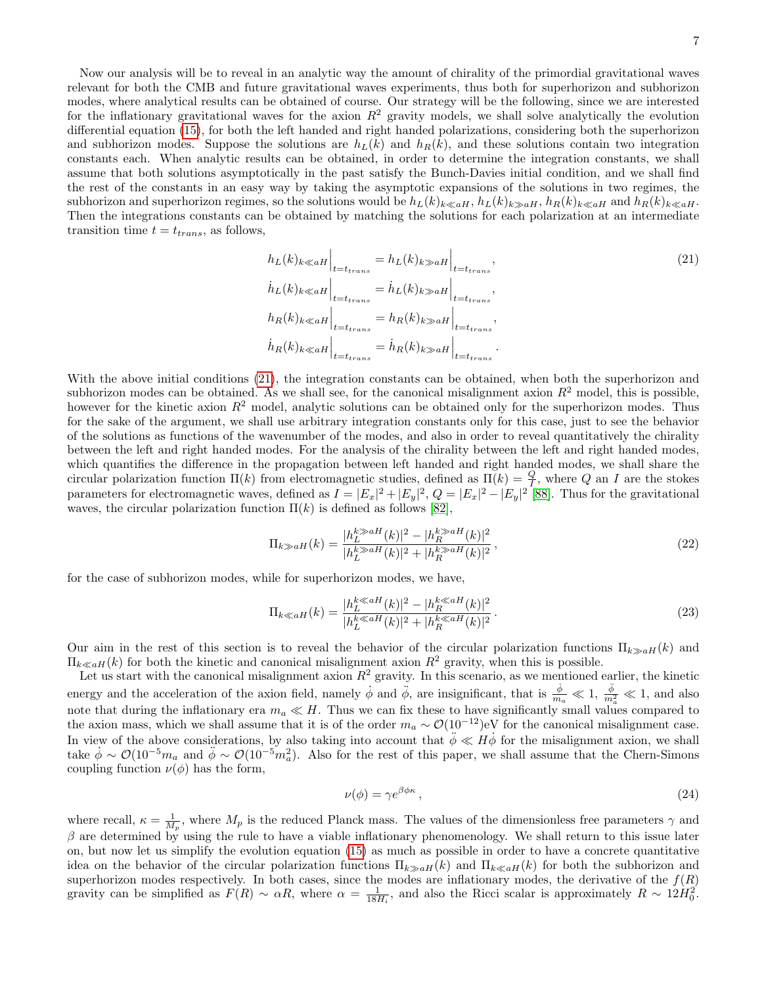Now our analysis will be to reveal in an analytic way the amount of chirality of the primordial gravitational waves relevant for both the CMB and future gravitational waves experiments, thus both for superhorizon and subhorizon modes, where analytical results can be obtained of course. Our strategy will be the following, since we are interested for the inflationary gravitational waves for the axion  $R^2$  gravity models, we shall solve analytically the evolution differential equation [\(15\)](#page-4-0), for both the left handed and right handed polarizations, considering both the superhorizon and subhorizon modes. Suppose the solutions are  $h_L(k)$  and  $h_R(k)$ , and these solutions contain two integration constants each. When analytic results can be obtained, in order to determine the integration constants, we shall assume that both solutions asymptotically in the past satisfy the Bunch-Davies initial condition, and we shall find the rest of the constants in an easy way by taking the asymptotic expansions of the solutions in two regimes, the subhorizon and superhorizon regimes, so the solutions would be  $h_L(k)_{k\leq aH}$ ,  $h_L(k)_{k\geq aH}$ ,  $h_R(k)_{k\leq aH}$  and  $h_R(k)_{k\leq aH}$ . Then the integrations constants can be obtained by matching the solutions for each polarization at an intermediate transition time  $t = t_{trans}$ , as follows,

<span id="page-6-0"></span>
$$
h_L(k)_{k \ll aH} \Big|_{t=t_{trans}} = h_L(k)_{k \gg aH} \Big|_{t=t_{trans}},
$$
\n
$$
h_L(k)_{k \ll aH} \Big|_{t=t_{trans}} = h_L(k)_{k \gg aH} \Big|_{t=t_{trans}},
$$
\n
$$
h_R(k)_{k \ll aH} \Big|_{t=t_{trans}} = h_R(k)_{k \gg aH} \Big|_{t=t_{trans}},
$$
\n
$$
h_R(k)_{k \ll aH} \Big|_{t=t_{trans}} = h_R(k)_{k \gg aH} \Big|_{t=t_{trans}}.
$$
\n(21)

With the above initial conditions [\(21\)](#page-6-0), the integration constants can be obtained, when both the superhorizon and subhorizon modes can be obtained. As we shall see, for the canonical misalignment axion  $R<sup>2</sup>$  model, this is possible, however for the kinetic axion  $R^2$  model, analytic solutions can be obtained only for the superhorizon modes. Thus for the sake of the argument, we shall use arbitrary integration constants only for this case, just to see the behavior of the solutions as functions of the wavenumber of the modes, and also in order to reveal quantitatively the chirality between the left and right handed modes. For the analysis of the chirality between the left and right handed modes, which quantifies the difference in the propagation between left handed and right handed modes, we shall share the circular polarization function  $\Pi(k)$  from electromagnetic studies, defined as  $\Pi(k) = \frac{Q}{I}$ , where Q an I are the stokes parameters for electromagnetic waves, defined as  $I = |E_x|^2 + |E_y|^2$ ,  $Q = |E_x|^2 - |E_y|^2$  [\[88\]](#page-13-4). Thus for the gravitational waves, the circular polarization function  $\Pi(k)$  is defined as follows [\[82\]](#page-13-5),

$$
\Pi_{k \gg aH}(k) = \frac{|h_L^{k \gg aH}(k)|^2 - |h_R^{k \gg aH}(k)|^2}{|h_L^{k \gg aH}(k)|^2 + |h_R^{k \gg aH}(k)|^2},\tag{22}
$$

for the case of subhorizon modes, while for superhorizon modes, we have,

$$
\Pi_{k \ll aH}(k) = \frac{|h_L^{k \ll aH}(k)|^2 - |h_R^{k \ll aH}(k)|^2}{|h_L^{k \ll aH}(k)|^2 + |h_R^{k \ll aH}(k)|^2}.
$$
\n(23)

Our aim in the rest of this section is to reveal the behavior of the circular polarization functions  $\Pi_{k\geqslant a}$  and  $\Pi_{k\ll aH}(k)$  for both the kinetic and canonical misalignment axion  $R^2$  gravity, when this is possible.

Let us start with the canonical misalignment axion  $R^2$  gravity. In this scenario, as we mentioned earlier, the kinetic energy and the acceleration of the axion field, namely  $\dot{\phi}$  and  $\ddot{\phi}$ , are insignificant, that is  $\frac{\dot{\phi}}{m_a} \ll 1$ ,  $\frac{\ddot{\phi}}{m_a^2} \ll 1$ , and also note that during the inflationary era  $m_a \ll H$ . Thus we can fix these to have significantly small values compared to the axion mass, which we shall assume that it is of the order  $m_a \sim \mathcal{O}(10^{-12})$ eV for the canonical misalignment case. In view of the above considerations, by also taking into account that  $\ddot{\phi} \ll H\dot{\phi}$  for the misalignment axion, we shall take  $\dot{\phi} \sim \mathcal{O}(10^{-5}m_a$  and  $\ddot{\phi} \sim \mathcal{O}(10^{-5}m_a^2)$ . Also for the rest of this paper, we shall assume that the Chern-Simons coupling function  $\nu(\phi)$  has the form,

$$
\nu(\phi) = \gamma e^{\beta \phi \kappa},\tag{24}
$$

where recall,  $\kappa = \frac{1}{M_p}$ , where  $M_p$  is the reduced Planck mass. The values of the dimensionless free parameters  $\gamma$  and  $\beta$  are determined by using the rule to have a viable inflationary phenomenology. We shall return to this issue later on, but now let us simplify the evolution equation [\(15\)](#page-4-0) as much as possible in order to have a concrete quantitative idea on the behavior of the circular polarization functions  $\Pi_{k\geq a}H(k)$  and  $\Pi_{k\leq a}H(k)$  for both the subhorizon and superhorizon modes respectively. In both cases, since the modes are inflationary modes, the derivative of the  $f(R)$ gravity can be simplified as  $F(R) \sim \alpha R$ , where  $\alpha = \frac{1}{18H_i}$ , and also the Ricci scalar is approximately  $R \sim 12H_0^2$ .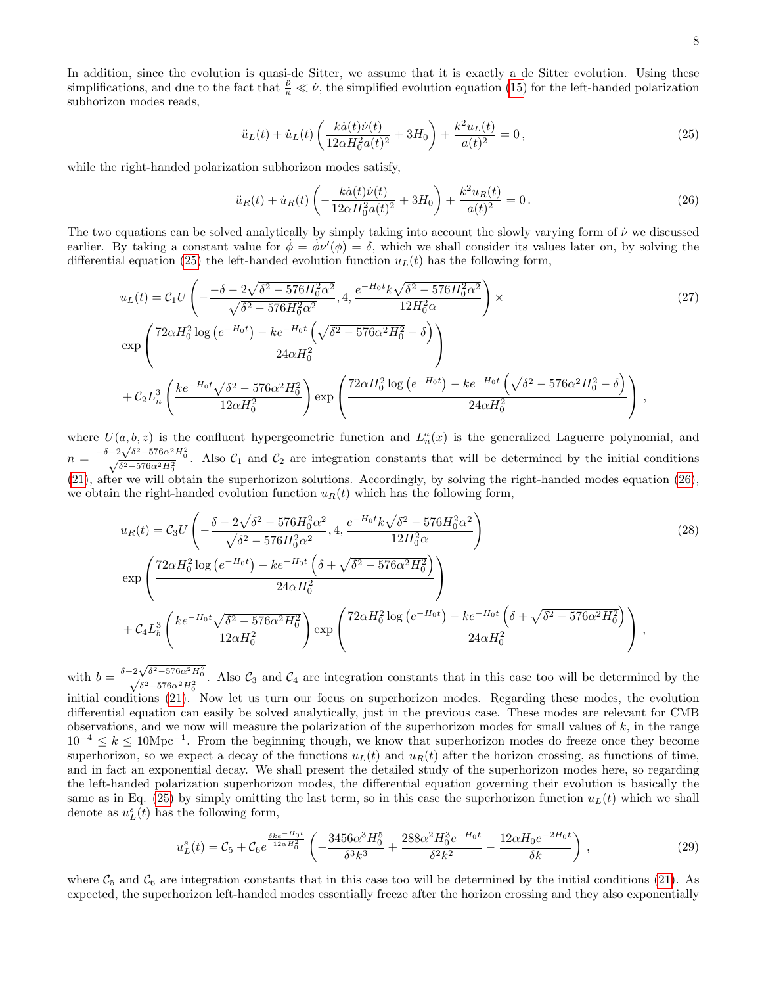In addition, since the evolution is quasi-de Sitter, we assume that it is exactly a de Sitter evolution. Using these simplifications, and due to the fact that  $\frac{\ddot{\nu}}{\kappa} \ll \dot{\nu}$ , the simplified evolution equation [\(15\)](#page-4-0) for the left-handed polarization subhorizon modes reads,

<span id="page-7-0"></span>
$$
\ddot{u}_L(t) + \dot{u}_L(t) \left( \frac{k\dot{a}(t)\dot{\nu}(t)}{12\alpha H_0^2 a(t)^2} + 3H_0 \right) + \frac{k^2 u_L(t)}{a(t)^2} = 0, \qquad (25)
$$

while the right-handed polarization subhorizon modes satisfy,

<span id="page-7-1"></span>
$$
\ddot{u}_R(t) + \dot{u}_R(t) \left( -\frac{k\dot{a}(t)\dot{\nu}(t)}{12\alpha H_0^2 a(t)^2} + 3H_0 \right) + \frac{k^2 u_R(t)}{a(t)^2} = 0.
$$
\n(26)

The two equations can be solved analytically by simply taking into account the slowly varying form of  $\dot{\nu}$  we discussed earlier. By taking a constant value for  $\dot{\phi} = \dot{\phi} \dot{\psi}'(\phi) = \delta$ , which we shall consider its values later on, by solving the differential equation [\(25\)](#page-7-0) the left-handed evolution function  $u<sub>L</sub>(t)$  has the following form,

$$
u_{L}(t) = C_{1}U\left(-\frac{-\delta - 2\sqrt{\delta^{2} - 576H_{0}^{2}\alpha^{2}}}{\sqrt{\delta^{2} - 576H_{0}^{2}\alpha^{2}}}, 4, \frac{e^{-H_{0}t}k\sqrt{\delta^{2} - 576H_{0}^{2}\alpha^{2}}}{12H_{0}^{2}\alpha}\right) \times \exp\left(\frac{72\alpha H_{0}^{2}\log\left(e^{-H_{0}t}\right) - ke^{-H_{0}t}\left(\sqrt{\delta^{2} - 576\alpha^{2}H_{0}^{2}} - \delta\right)}{24\alpha H_{0}^{2}}\right) + C_{2}L_{n}^{3}\left(\frac{ke^{-H_{0}t}\sqrt{\delta^{2} - 576\alpha^{2}H_{0}^{2}}}{12\alpha H_{0}^{2}}\right)\exp\left(\frac{72\alpha H_{0}^{2}\log\left(e^{-H_{0}t}\right) - ke^{-H_{0}t}\left(\sqrt{\delta^{2} - 576\alpha^{2}H_{0}^{2}} - \delta\right)}{24\alpha H_{0}^{2}}\right),
$$
\n(27)

where  $U(a, b, z)$  is the confluent hypergeometric function and  $L_n^a(x)$  is the generalized Laguerre polynomial, and where  $U(a, b, z)$  is the confluent hypergeometric function and  $L_n(x)$  is the generalized Laguerre polynomial, and  $n = \frac{-\delta - 2\sqrt{\delta^2 - 576\alpha^2 H_0^2}}{\sqrt{\delta^2 - 576\alpha^2 H_0^2}}$ . Also  $C_1$  and  $C_2$  are integration constants that w [\(21\)](#page-6-0), after we will obtain the superhorizon solutions. Accordingly, by solving the right-handed modes equation [\(26\)](#page-7-1), we obtain the right-handed evolution function  $u_R(t)$  which has the following form,

$$
u_{R}(t) = C_{3}U\left(-\frac{\delta - 2\sqrt{\delta^{2} - 576H_{0}^{2}\alpha^{2}}}{\sqrt{\delta^{2} - 576H_{0}^{2}\alpha^{2}}}, 4, \frac{e^{-H_{0}t}k\sqrt{\delta^{2} - 576H_{0}^{2}\alpha^{2}}}{12H_{0}^{2}\alpha}\right)
$$
\n
$$
\exp\left(\frac{72\alpha H_{0}^{2}\log\left(e^{-H_{0}t}\right) - ke^{-H_{0}t}\left(\delta + \sqrt{\delta^{2} - 576\alpha^{2}H_{0}^{2}}\right)}{24\alpha H_{0}^{2}}\right)
$$
\n
$$
+ C_{4}L_{b}^{3}\left(\frac{ke^{-H_{0}t}\sqrt{\delta^{2} - 576\alpha^{2}H_{0}^{2}}}{12\alpha H_{0}^{2}}\right)\exp\left(\frac{72\alpha H_{0}^{2}\log\left(e^{-H_{0}t}\right) - ke^{-H_{0}t}\left(\delta + \sqrt{\delta^{2} - 576\alpha^{2}H_{0}^{2}}\right)}{24\alpha H_{0}^{2}}\right),
$$
\n(28)

with  $b = \frac{\delta - 2\sqrt{\delta^2 - 576\alpha^2 H_0^2}}{\sqrt{\delta^2 - 576\alpha^2 H_0^2}}$ . Also  $C_3$  and  $C_4$  are integration constants that in this case too will be determined by the initial conditions [\(21\)](#page-6-0). Now let us turn our focus on superhorizon modes. Regarding these modes, the evolution differential equation can easily be solved analytically, just in the previous case. These modes are relevant for CMB observations, and we now will measure the polarization of the superhorizon modes for small values of  $k$ , in the range  $10^{-4} \leq k \leq 10$ Mpc<sup>-1</sup>. From the beginning though, we know that superhorizon modes do freeze once they become superhorizon, so we expect a decay of the functions  $u_L(t)$  and  $u_R(t)$  after the horizon crossing, as functions of time, and in fact an exponential decay. We shall present the detailed study of the superhorizon modes here, so regarding the left-handed polarization superhorizon modes, the differential equation governing their evolution is basically the same as in Eq. [\(25\)](#page-7-0) by simply omitting the last term, so in this case the superhorizon function  $u<sub>L</sub>(t)$  which we shall denote as  $u_L^s(t)$  has the following form,

$$
u_L^s(t) = \mathcal{C}_5 + \mathcal{C}_6 e^{\frac{\delta k e^{-H_0 t}}{12\alpha H_0^2}} \left( -\frac{3456\alpha^3 H_0^5}{\delta^3 k^3} + \frac{288\alpha^2 H_0^3 e^{-H_0 t}}{\delta^2 k^2} - \frac{12\alpha H_0 e^{-2H_0 t}}{\delta k} \right),\tag{29}
$$

where  $C_5$  and  $C_6$  are integration constants that in this case too will be determined by the initial conditions [\(21\)](#page-6-0). As expected, the superhorizon left-handed modes essentially freeze after the horizon crossing and they also exponentially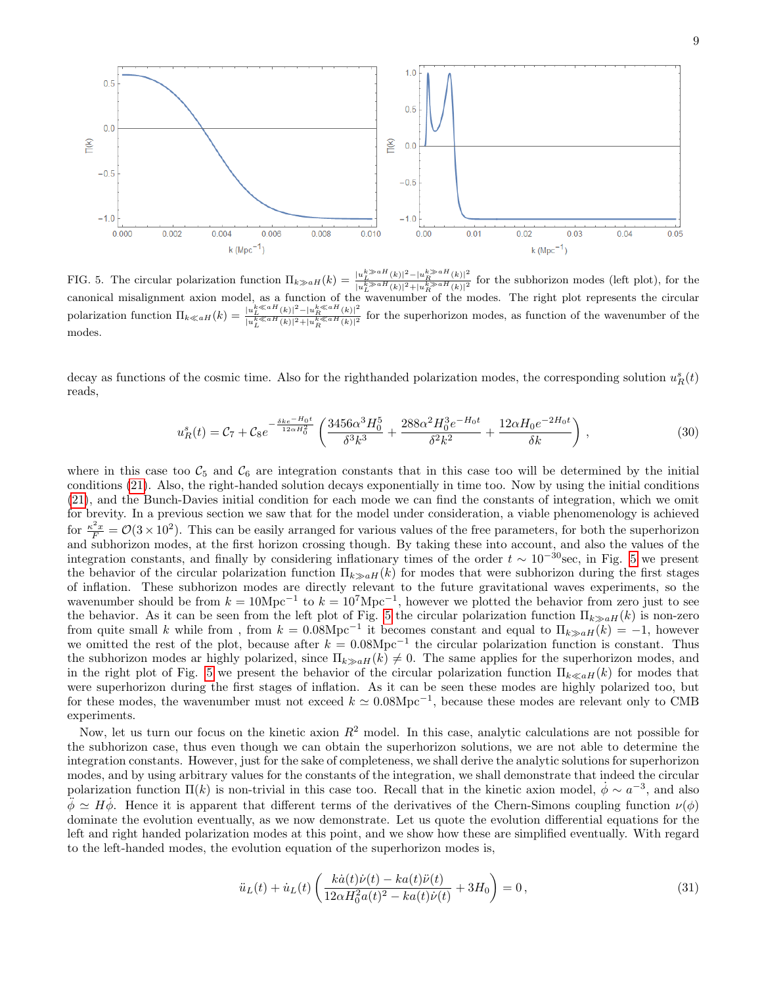

<span id="page-8-0"></span>FIG. 5. The circular polarization function  $\Pi_{k\gg aH}(k) = \frac{|u_L^{k\gg aH}(k)|^2 - |u_R^{k\gg aH}(k)|^2}{|L_k^{k\gg aH}(k)|^2 + |u_R^{k\gg aH}(k)|^2}$  $\frac{u_L}{|u_L^{k}\gg aH(k)|^2+|u_R^{k}\gg aH(k)|^2}$  for the subhorizon modes (left plot), for the canonical misalignment axion model, as a function of the wavenumber of the modes. The right plot represents the circular polarization function  $\Pi_{k\ll aH}(k) = \frac{|u_L^{k\ll aH}(k)|^2 - |u_R^{k\ll aH}(k)|^2}{\frac{L}{k\ll aH} \frac{k\ll aH}{(k-1)^2} \frac{|k\ll aH(k)|^2}{(k-1)^2}}$  $\frac{|u_L(\kappa)| - |u_R(\kappa)|}{|u_L^k \ll aH(\kappa)|^2 + |u_R^k(\kappa)|^2}$  for the superhorizon modes, as function of the wavenumber of the modes.

decay as functions of the cosmic time. Also for the righthanded polarization modes, the corresponding solution  $u_R^s(t)$ reads,

$$
u_R^s(t) = C_7 + C_8 e^{-\frac{\delta k e^{-H_0 t}}{12\alpha H_0^2}} \left(\frac{3456\alpha^3 H_0^5}{\delta^3 k^3} + \frac{288\alpha^2 H_0^3 e^{-H_0 t}}{\delta^2 k^2} + \frac{12\alpha H_0 e^{-2H_0 t}}{\delta k}\right),\tag{30}
$$

where in this case too  $C_5$  and  $C_6$  are integration constants that in this case too will be determined by the initial conditions [\(21\)](#page-6-0). Also, the right-handed solution decays exponentially in time too. Now by using the initial conditions [\(21\)](#page-6-0), and the Bunch-Davies initial condition for each mode we can find the constants of integration, which we omit for brevity. In a previous section we saw that for the model under consideration, a viable phenomenology is achieved for  $\frac{\kappa^2 x}{F} = \mathcal{O}(3 \times 10^2)$ . This can be easily arranged for various values of the free parameters, for both the superhorizon and subhorizon modes, at the first horizon crossing though. By taking these into account, and also the values of the integration constants, and finally by considering inflationary times of the order  $t \sim 10^{-30}$  sec, in Fig. [5](#page-8-0) we present the behavior of the circular polarization function  $\Pi_{k\gg a}H(k)$  for modes that were subhorizon during the first stages of inflation. These subhorizon modes are directly relevant to the future gravitational waves experiments, so the wavenumber should be from  $k = 10$ Mpc<sup>-1</sup> to  $k = 10<sup>7</sup>$ Mpc<sup>-1</sup>, however we plotted the behavior from zero just to see the behavior. As it can be seen from the left plot of Fig. [5](#page-8-0) the circular polarization function  $\Pi_{k\gg a}$ <sub> $H(k)$ </sub> is non-zero from quite small k while from, from  $k = 0.08 \text{Mpc}^{-1}$  it becomes constant and equal to  $\Pi_{k \gg a}$  $\mu(k) = -1$ , however we omitted the rest of the plot, because after  $k = 0.08 \text{Mpc}^{-1}$  the circular polarization function is constant. Thus the subhorizon modes ar highly polarized, since  $\Pi_{k\ge a}H(k) \ne 0$ . The same applies for the superhorizon modes, and in the right plot of Fig. [5](#page-8-0) we present the behavior of the circular polarization function  $\Pi_{k\ll aH}(k)$  for modes that were superhorizon during the first stages of inflation. As it can be seen these modes are highly polarized too, but for these modes, the wavenumber must not exceed  $k \simeq 0.08 \text{Mpc}^{-1}$ , because these modes are relevant only to CMB experiments.

Now, let us turn our focus on the kinetic axion  $R^2$  model. In this case, analytic calculations are not possible for the subhorizon case, thus even though we can obtain the superhorizon solutions, we are not able to determine the integration constants. However, just for the sake of completeness, we shall derive the analytic solutions for superhorizon modes, and by using arbitrary values for the constants of the integration, we shall demonstrate that indeed the circular polarization function  $\Pi(k)$  is non-trivial in this case too. Recall that in the kinetic axion model,  $\dot{\phi} \sim a^{-3}$ , and also  $\ddot{\phi} \simeq H\dot{\phi}$ . Hence it is apparent that different terms of the derivatives of the Chern-Simons coupling function  $\nu(\phi)$ dominate the evolution eventually, as we now demonstrate. Let us quote the evolution differential equations for the left and right handed polarization modes at this point, and we show how these are simplified eventually. With regard to the left-handed modes, the evolution equation of the superhorizon modes is,

$$
\ddot{u}_L(t) + \dot{u}_L(t) \left( \frac{k\dot{a}(t)\dot{\nu}(t) - ka(t)\ddot{\nu}(t)}{12\alpha H_0^2 a(t)^2 - ka(t)\dot{\nu}(t)} + 3H_0 \right) = 0, \tag{31}
$$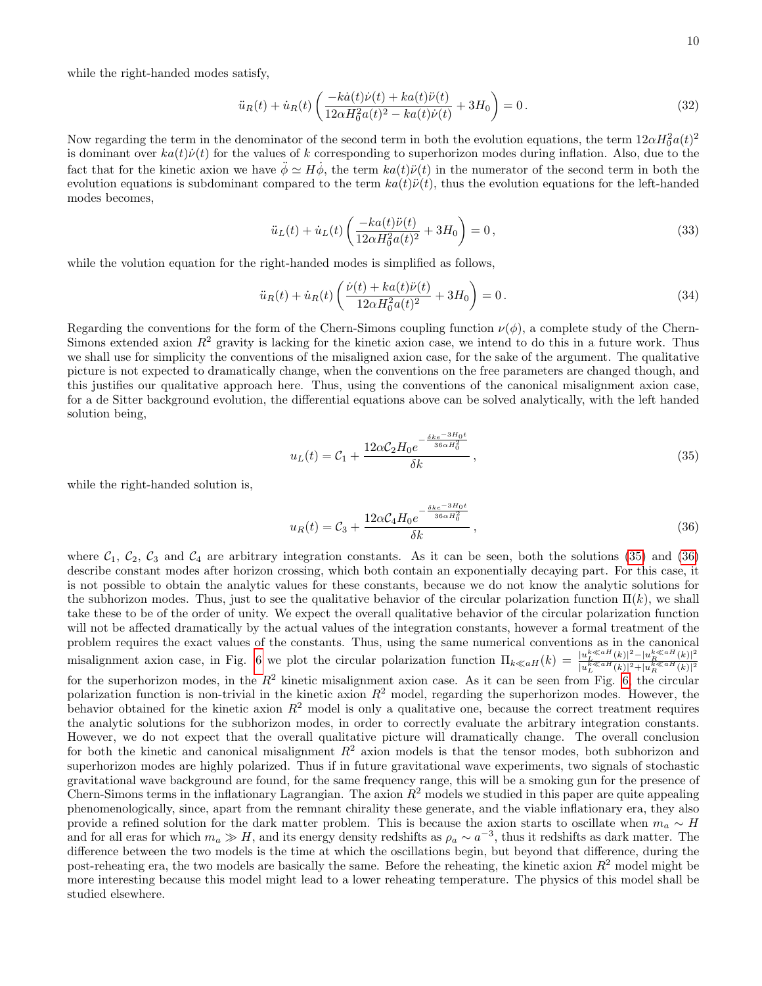while the right-handed modes satisfy,

$$
\ddot{u}_R(t) + \dot{u}_R(t) \left( \frac{-k\dot{a}(t)\dot{\nu}(t) + ka(t)\ddot{\nu}(t)}{12\alpha H_0^2 a(t)^2 - ka(t)\dot{\nu}(t)} + 3H_0 \right) = 0.
$$
\n(32)

Now regarding the term in the denominator of the second term in both the evolution equations, the term  $12\alpha H_0^2 a(t)^2$ is dominant over  $ka(t)\dot{\nu}(t)$  for the values of k corresponding to superhorizon modes during inflation. Also, due to the fact that for the kinetic axion we have  $\ddot{\phi} \simeq H \dot{\phi}$ , the term  $ka(t)\ddot{\nu}(t)$  in the numerator of the second term in both the evolution equations is subdominant compared to the term  $ka(t)\ddot{\nu}(t)$ , thus the evolution equations for the left-handed modes becomes,

$$
\ddot{u}_L(t) + \dot{u}_L(t) \left( \frac{-ka(t)\ddot{\nu}(t)}{12\alpha H_0^2 a(t)^2} + 3H_0 \right) = 0, \qquad (33)
$$

while the volution equation for the right-handed modes is simplified as follows,

$$
\ddot{u}_R(t) + \dot{u}_R(t) \left( \frac{\dot{\nu}(t) + ka(t)\ddot{\nu}(t)}{12\alpha H_0^2 a(t)^2} + 3H_0 \right) = 0.
$$
\n(34)

Regarding the conventions for the form of the Chern-Simons coupling function  $\nu(\phi)$ , a complete study of the Chern-Simons extended axion  $R^2$  gravity is lacking for the kinetic axion case, we intend to do this in a future work. Thus we shall use for simplicity the conventions of the misaligned axion case, for the sake of the argument. The qualitative picture is not expected to dramatically change, when the conventions on the free parameters are changed though, and this justifies our qualitative approach here. Thus, using the conventions of the canonical misalignment axion case, for a de Sitter background evolution, the differential equations above can be solved analytically, with the left handed solution being,

<span id="page-9-0"></span>
$$
u_L(t) = C_1 + \frac{12\alpha C_2 H_0 e^{-\frac{\delta k e^{-3H_0 t}}{36\alpha H_0^2}}}{\delta k},
$$
\n(35)

while the right-handed solution is,

<span id="page-9-1"></span>
$$
u_R(t) = C_3 + \frac{12\alpha C_4 H_0 e^{-\frac{\delta k e^{-3H_0 t}}{36\alpha H_0^2}}}{\delta k},
$$
\n(36)

where  $C_1$ ,  $C_2$ ,  $C_3$  and  $C_4$  are arbitrary integration constants. As it can be seen, both the solutions [\(35\)](#page-9-0) and [\(36\)](#page-9-1) describe constant modes after horizon crossing, which both contain an exponentially decaying part. For this case, it is not possible to obtain the analytic values for these constants, because we do not know the analytic solutions for the subhorizon modes. Thus, just to see the qualitative behavior of the circular polarization function  $\Pi(k)$ , we shall take these to be of the order of unity. We expect the overall qualitative behavior of the circular polarization function will not be affected dramatically by the actual values of the integration constants, however a formal treatment of the problem requires the exact values of the constants. Thus, using the same numerical conventions as in the canonical misalignment axion case, in Fig. [6](#page-10-1) we plot the circular polarization function  $\Pi_{k\ll aH}(k) = \frac{|u_L^{k\ll aH}(k)|^2 - |u_R^{k\ll aH}(k)|^2}{|u_L^{k\ll aH}(k)|^2 + |u_R^{k\ll aH}(k)|^2}$  $|u_L^{k\ll aH}(k)|^2+|u_R^{k\ll aH}(k)|^2$ for the superhorizon modes, in the  $R^2$  kinetic misalignment axion case. As it can be seen from Fig. [6,](#page-10-1) the circular polarization function is non-trivial in the kinetic axion  $R^2$  model, regarding the superhorizon modes. However, the behavior obtained for the kinetic axion  $R^2$  model is only a qualitative one, because the correct treatment requires the analytic solutions for the subhorizon modes, in order to correctly evaluate the arbitrary integration constants. However, we do not expect that the overall qualitative picture will dramatically change. The overall conclusion for both the kinetic and canonical misalignment  $R^2$  axion models is that the tensor modes, both subhorizon and superhorizon modes are highly polarized. Thus if in future gravitational wave experiments, two signals of stochastic gravitational wave background are found, for the same frequency range, this will be a smoking gun for the presence of Chern-Simons terms in the inflationary Lagrangian. The axion  $R^2$  models we studied in this paper are quite appealing phenomenologically, since, apart from the remnant chirality these generate, and the viable inflationary era, they also provide a refined solution for the dark matter problem. This is because the axion starts to oscillate when  $m_a \sim H$ and for all eras for which  $m_a \gg H$ , and its energy density redshifts as  $\rho_a \sim a^{-3}$ , thus it redshifts as dark matter. The difference between the two models is the time at which the oscillations begin, but beyond that difference, during the post-reheating era, the two models are basically the same. Before the reheating, the kinetic axion  $R^2$  model might be more interesting because this model might lead to a lower reheating temperature. The physics of this model shall be studied elsewhere.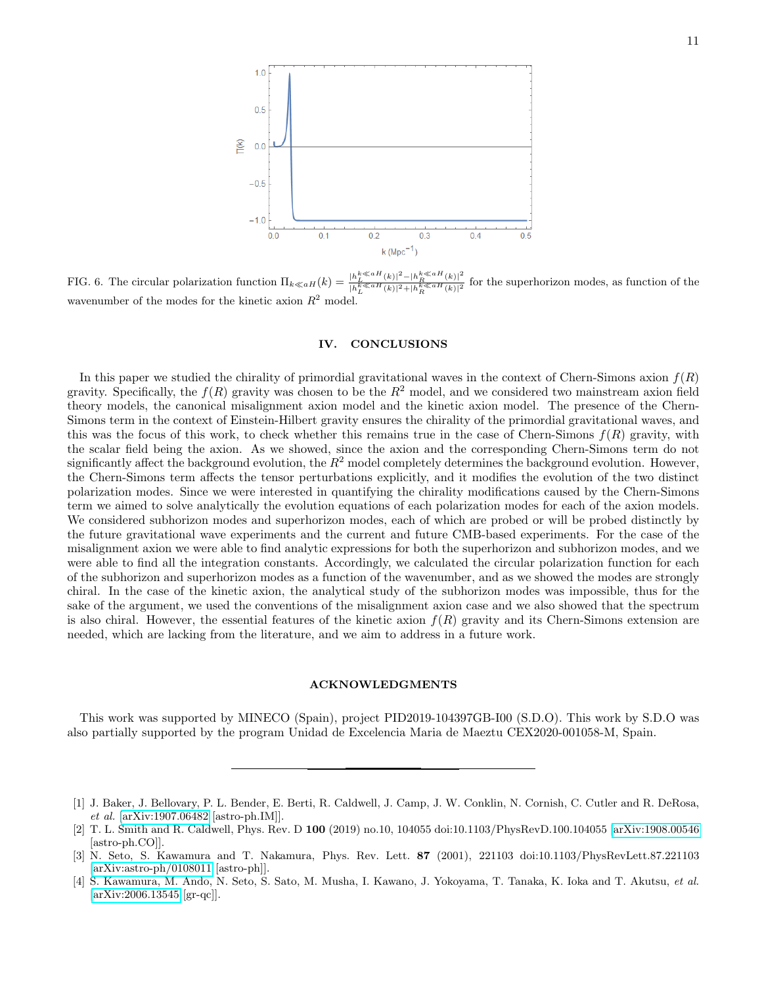

<span id="page-10-1"></span>FIG. 6. The circular polarization function  $\Pi_{k\ll aH}(k) =$  $\frac{k \ll aH(k)}{L}$   $|h_R^{k \ll aH(k)}|^2$  $\frac{|h_L - (k)| - |h_R - (k)|}{|h_L^k \leq aH(k)|^2 + |h_R^k \leq aH(k)|^2}$  for the superhorizon modes, as function of the wavenumber of the modes for the kinetic axion  $R^2$  model.

#### IV. CONCLUSIONS

In this paper we studied the chirality of primordial gravitational waves in the context of Chern-Simons axion  $f(R)$ gravity. Specifically, the  $f(R)$  gravity was chosen to be the  $R^2$  model, and we considered two mainstream axion field theory models, the canonical misalignment axion model and the kinetic axion model. The presence of the Chern-Simons term in the context of Einstein-Hilbert gravity ensures the chirality of the primordial gravitational waves, and this was the focus of this work, to check whether this remains true in the case of Chern-Simons  $f(R)$  gravity, with the scalar field being the axion. As we showed, since the axion and the corresponding Chern-Simons term do not significantly affect the background evolution, the  $R^2$  model completely determines the background evolution. However, the Chern-Simons term affects the tensor perturbations explicitly, and it modifies the evolution of the two distinct polarization modes. Since we were interested in quantifying the chirality modifications caused by the Chern-Simons term we aimed to solve analytically the evolution equations of each polarization modes for each of the axion models. We considered subhorizon modes and superhorizon modes, each of which are probed or will be probed distinctly by the future gravitational wave experiments and the current and future CMB-based experiments. For the case of the misalignment axion we were able to find analytic expressions for both the superhorizon and subhorizon modes, and we were able to find all the integration constants. Accordingly, we calculated the circular polarization function for each of the subhorizon and superhorizon modes as a function of the wavenumber, and as we showed the modes are strongly chiral. In the case of the kinetic axion, the analytical study of the subhorizon modes was impossible, thus for the sake of the argument, we used the conventions of the misalignment axion case and we also showed that the spectrum is also chiral. However, the essential features of the kinetic axion  $f(R)$  gravity and its Chern-Simons extension are needed, which are lacking from the literature, and we aim to address in a future work.

## ACKNOWLEDGMENTS

This work was supported by MINECO (Spain), project PID2019-104397GB-I00 (S.D.O). This work by S.D.O was also partially supported by the program Unidad de Excelencia Maria de Maeztu CEX2020-001058-M, Spain.

<span id="page-10-0"></span><sup>[1]</sup> J. Baker, J. Bellovary, P. L. Bender, E. Berti, R. Caldwell, J. Camp, J. W. Conklin, N. Cornish, C. Cutler and R. DeRosa, et al. [\[arXiv:1907.06482](http://arxiv.org/abs/1907.06482) [astro-ph.IM]].

<sup>[2]</sup> T. L. Smith and R. Caldwell, Phys. Rev. D 100 (2019) no.10, 104055 doi:10.1103/PhysRevD.100.104055 [\[arXiv:1908.00546](http://arxiv.org/abs/1908.00546) [astro-ph.CO]].

<sup>[3]</sup> N. Seto, S. Kawamura and T. Nakamura, Phys. Rev. Lett. 87 (2001), 221103 doi:10.1103/PhysRevLett.87.221103 [\[arXiv:astro-ph/0108011](http://arxiv.org/abs/astro-ph/0108011) [astro-ph]].

<sup>[4]</sup> S. Kawamura, M. Ando, N. Seto, S. Sato, M. Musha, I. Kawano, J. Yokoyama, T. Tanaka, K. Ioka and T. Akutsu, et al. [\[arXiv:2006.13545](http://arxiv.org/abs/2006.13545) [gr-qc]].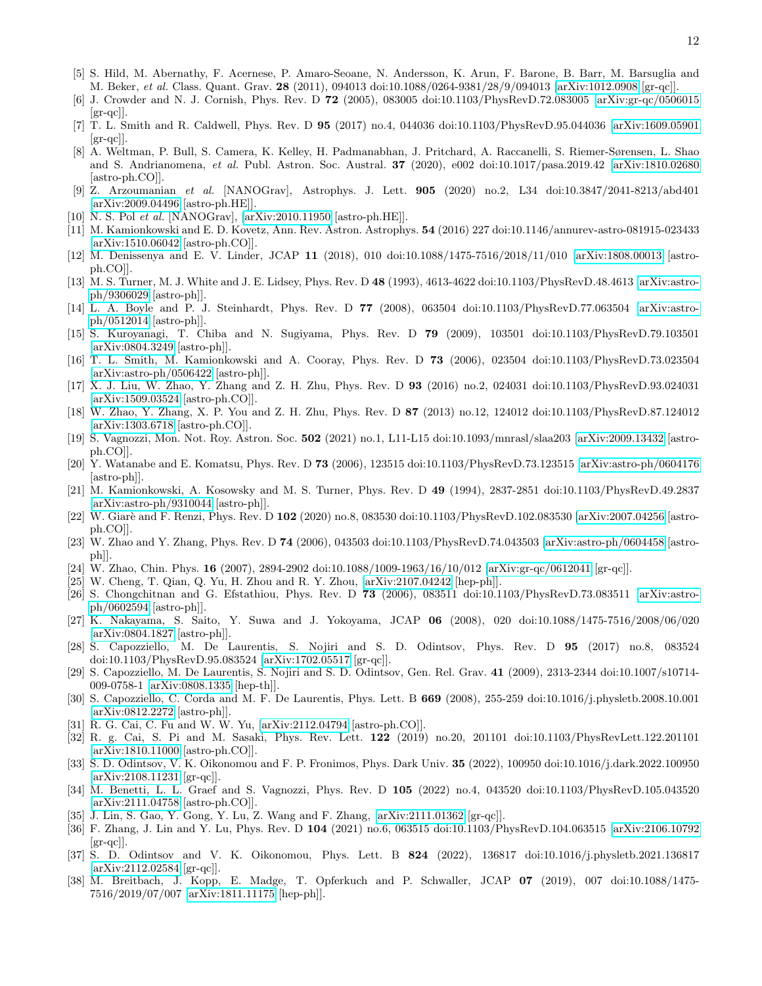- [5] S. Hild, M. Abernathy, F. Acernese, P. Amaro-Seoane, N. Andersson, K. Arun, F. Barone, B. Barr, M. Barsuglia and M. Beker, et al. Class. Quant. Grav. 28 (2011), 094013 doi:10.1088/0264-9381/28/9/094013 [\[arXiv:1012.0908](http://arxiv.org/abs/1012.0908) [gr-qc]].
- [6] J. Crowder and N. J. Cornish, Phys. Rev. D 72 (2005), 083005 doi:10.1103/PhysRevD.72.083005 [\[arXiv:gr-qc/0506015](http://arxiv.org/abs/gr-qc/0506015)  $\left[\text{gr-qc}\right]$ .
- <span id="page-11-0"></span>[7] T. L. Smith and R. Caldwell, Phys. Rev. D 95 (2017) no.4, 044036 doi:10.1103/PhysRevD.95.044036 [\[arXiv:1609.05901](http://arxiv.org/abs/1609.05901)  $\left[\text{gr-qc}\right]$ .
- <span id="page-11-1"></span>[8] A. Weltman, P. Bull, S. Camera, K. Kelley, H. Padmanabhan, J. Pritchard, A. Raccanelli, S. Riemer-Sørensen, L. Shao and S. Andrianomena, et al. Publ. Astron. Soc. Austral. 37 (2020), e002 doi:10.1017/pasa.2019.42 [\[arXiv:1810.02680](http://arxiv.org/abs/1810.02680) [astro-ph.CO]].
- <span id="page-11-2"></span>[9] Z. Arzoumanian et al. [NANOGrav], Astrophys. J. Lett. 905 (2020) no.2, L34 doi:10.3847/2041-8213/abd401 [\[arXiv:2009.04496](http://arxiv.org/abs/2009.04496) [astro-ph.HE]].
- <span id="page-11-3"></span>[10] N. S. Pol et al. [NANOGrav], [\[arXiv:2010.11950](http://arxiv.org/abs/2010.11950) [astro-ph.HE]].
- <span id="page-11-4"></span>[11] M. Kamionkowski and E. D. Kovetz, Ann. Rev. Astron. Astrophys. 54 (2016) 227 doi:10.1146/annurev-astro-081915-023433 [\[arXiv:1510.06042](http://arxiv.org/abs/1510.06042) [astro-ph.CO]].
- [12] M. Denissenya and E. V. Linder, JCAP 11 (2018), 010 doi:10.1088/1475-7516/2018/11/010 [\[arXiv:1808.00013](http://arxiv.org/abs/1808.00013) [astroph.CO]].
- [13] M. S. Turner, M. J. White and J. E. Lidsey, Phys. Rev. D 48 (1993), 4613-4622 doi:10.1103/PhysRevD.48.4613 [\[arXiv:astro](http://arxiv.org/abs/astro-ph/9306029)[ph/9306029](http://arxiv.org/abs/astro-ph/9306029) [astro-ph]].
- [14] L. A. Boyle and P. J. Steinhardt, Phys. Rev. D 77 (2008), 063504 doi:10.1103/PhysRevD.77.063504 [\[arXiv:astro](http://arxiv.org/abs/astro-ph/0512014)[ph/0512014](http://arxiv.org/abs/astro-ph/0512014) [astro-ph]].
- [15] S. Kuroyanagi, T. Chiba and N. Sugiyama, Phys. Rev. D 79 (2009), 103501 doi:10.1103/PhysRevD.79.103501 [\[arXiv:0804.3249](http://arxiv.org/abs/0804.3249) [astro-ph]].
- [16] T. L. Smith, M. Kamionkowski and A. Cooray, Phys. Rev. D 73 (2006), 023504 doi:10.1103/PhysRevD.73.023504 [\[arXiv:astro-ph/0506422](http://arxiv.org/abs/astro-ph/0506422) [astro-ph]].
- [17] X. J. Liu, W. Zhao, Y. Zhang and Z. H. Zhu, Phys. Rev. D 93 (2016) no.2, 024031 doi:10.1103/PhysRevD.93.024031 [\[arXiv:1509.03524](http://arxiv.org/abs/1509.03524) [astro-ph.CO]].
- [18] W. Zhao, Y. Zhang, X. P. You and Z. H. Zhu, Phys. Rev. D 87 (2013) no.12, 124012 doi:10.1103/PhysRevD.87.124012 [\[arXiv:1303.6718](http://arxiv.org/abs/1303.6718) [astro-ph.CO]].
- [19] S. Vagnozzi, Mon. Not. Roy. Astron. Soc. 502 (2021) no.1, L11-L15 doi:10.1093/mnrasl/slaa203 [\[arXiv:2009.13432](http://arxiv.org/abs/2009.13432) [astroph.CO]].
- [20] Y. Watanabe and E. Komatsu, Phys. Rev. D 73 (2006), 123515 doi:10.1103/PhysRevD.73.123515 [\[arXiv:astro-ph/0604176](http://arxiv.org/abs/astro-ph/0604176) [astro-ph]].
- [21] M. Kamionkowski, A. Kosowsky and M. S. Turner, Phys. Rev. D 49 (1994), 2837-2851 doi:10.1103/PhysRevD.49.2837 [\[arXiv:astro-ph/9310044](http://arxiv.org/abs/astro-ph/9310044) [astro-ph]].
- [22] W. Giarè and F. Renzi, Phys. Rev. D 102 (2020) no.8, 083530 doi:10.1103/PhysRevD.102.083530 [\[arXiv:2007.04256](http://arxiv.org/abs/2007.04256) [astroph.CO]].
- [23] W. Zhao and Y. Zhang, Phys. Rev. D 74 (2006), 043503 doi:10.1103/PhysRevD.74.043503 [\[arXiv:astro-ph/0604458](http://arxiv.org/abs/astro-ph/0604458) [astroph]].
- [24] W. Zhao, Chin. Phys. 16 (2007), 2894-2902 doi:10.1088/1009-1963/16/10/012 [\[arXiv:gr-qc/0612041](http://arxiv.org/abs/gr-qc/0612041) [gr-qc]].
- [25] W. Cheng, T. Qian, Q. Yu, H. Zhou and R. Y. Zhou, [\[arXiv:2107.04242](http://arxiv.org/abs/2107.04242) [hep-ph]].
- [26] S. Chongchitnan and G. Efstathiou, Phys. Rev. D 73 (2006), 083511 doi:10.1103/PhysRevD.73.083511 [\[arXiv:astro](http://arxiv.org/abs/astro-ph/0602594)[ph/0602594](http://arxiv.org/abs/astro-ph/0602594) [astro-ph]].
- [27] K. Nakayama, S. Saito, Y. Suwa and J. Yokoyama, JCAP 06 (2008), 020 doi:10.1088/1475-7516/2008/06/020 [\[arXiv:0804.1827](http://arxiv.org/abs/0804.1827) [astro-ph]].
- [28] S. Capozziello, M. De Laurentis, S. Nojiri and S. D. Odintsov, Phys. Rev. D 95 (2017) no.8, 083524 doi:10.1103/PhysRevD.95.083524 [\[arXiv:1702.05517](http://arxiv.org/abs/1702.05517) [gr-qc]].
- [29] S. Capozziello, M. De Laurentis, S. Nojiri and S. D. Odintsov, Gen. Rel. Grav. 41 (2009), 2313-2344 doi:10.1007/s10714- 009-0758-1 [\[arXiv:0808.1335](http://arxiv.org/abs/0808.1335) [hep-th]].
- [30] S. Capozziello, C. Corda and M. F. De Laurentis, Phys. Lett. B 669 (2008), 255-259 doi:10.1016/j.physletb.2008.10.001 [\[arXiv:0812.2272](http://arxiv.org/abs/0812.2272) [astro-ph]].
- [31] R. G. Cai, C. Fu and W. W. Yu, [\[arXiv:2112.04794](http://arxiv.org/abs/2112.04794) [astro-ph.CO]].
- [32] R. g. Cai, S. Pi and M. Sasaki, Phys. Rev. Lett. 122 (2019) no.20, 201101 doi:10.1103/PhysRevLett.122.201101 [\[arXiv:1810.11000](http://arxiv.org/abs/1810.11000) [astro-ph.CO]].
- [33] S. D. Odintsov, V. K. Oikonomou and F. P. Fronimos, Phys. Dark Univ. 35 (2022), 100950 doi:10.1016/j.dark.2022.100950 [\[arXiv:2108.11231](http://arxiv.org/abs/2108.11231) [gr-qc]].
- [34] M. Benetti, L. L. Graef and S. Vagnozzi, Phys. Rev. D 105 (2022) no.4, 043520 doi:10.1103/PhysRevD.105.043520 [\[arXiv:2111.04758](http://arxiv.org/abs/2111.04758) [astro-ph.CO]].
- [35] J. Lin, S. Gao, Y. Gong, Y. Lu, Z. Wang and F. Zhang, [\[arXiv:2111.01362](http://arxiv.org/abs/2111.01362) [gr-qc]].
- [36] F. Zhang, J. Lin and Y. Lu, Phys. Rev. D 104 (2021) no.6, 063515 doi:10.1103/PhysRevD.104.063515 [\[arXiv:2106.10792](http://arxiv.org/abs/2106.10792)  $\left[\text{gr-qc}\right]$ .
- [37] S. D. Odintsov and V. K. Oikonomou, Phys. Lett. B 824 (2022), 136817 doi:10.1016/j.physletb.2021.136817 [\[arXiv:2112.02584](http://arxiv.org/abs/2112.02584) [gr-qc]].
- <span id="page-11-5"></span>[38] M. Breitbach, J. Kopp, E. Madge, T. Opferkuch and P. Schwaller, JCAP 07 (2019), 007 doi:10.1088/1475- 7516/2019/07/007 [\[arXiv:1811.11175](http://arxiv.org/abs/1811.11175) [hep-ph]].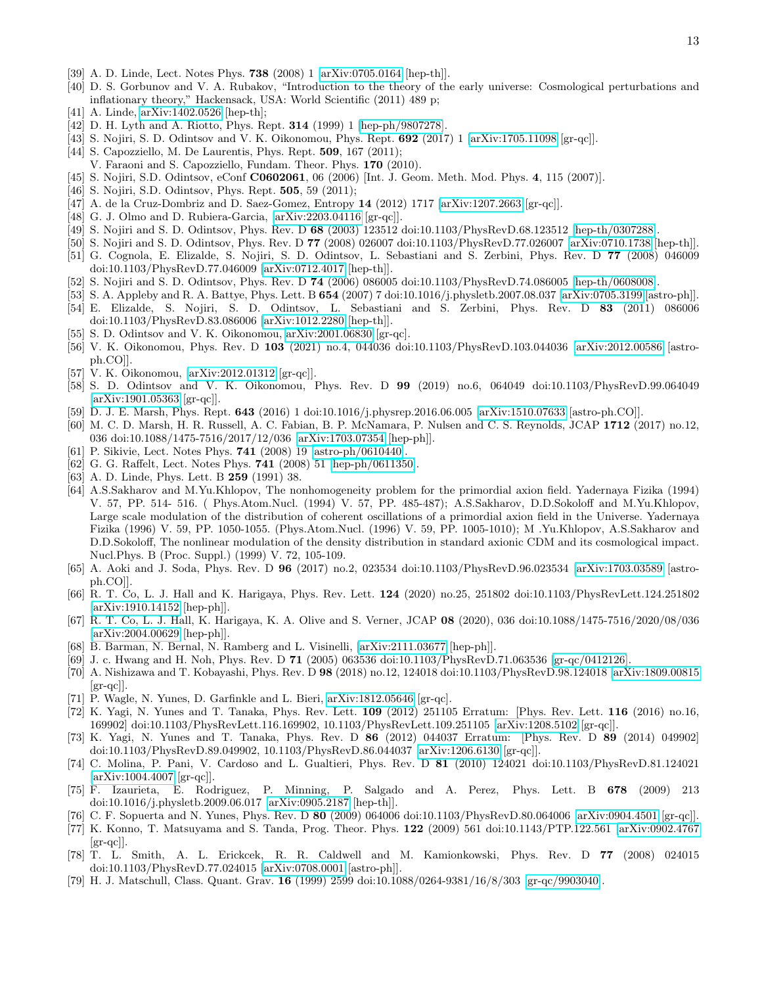- <span id="page-12-0"></span>[39] A. D. Linde, Lect. Notes Phys. 738 (2008) 1 [\[arXiv:0705.0164](http://arxiv.org/abs/0705.0164) [hep-th]].
- [40] D. S. Gorbunov and V. A. Rubakov, "Introduction to the theory of the early universe: Cosmological perturbations and inflationary theory," Hackensack, USA: World Scientific (2011) 489 p;
- [41] A. Linde, [arXiv:1402.0526](http://arxiv.org/abs/1402.0526) [hep-th];
- <span id="page-12-1"></span>[42] D. H. Lyth and A. Riotto, Phys. Rept. **314** (1999) 1 [\[hep-ph/9807278\]](http://arxiv.org/abs/hep-ph/9807278).
- <span id="page-12-2"></span>[43] S. Nojiri, S. D. Odintsov and V. K. Oikonomou, Phys. Rept. 692 (2017) 1 [\[arXiv:1705.11098](http://arxiv.org/abs/1705.11098) [gr-qc]].
- [44] S. Capozziello, M. De Laurentis, Phys. Rept. **509**, 167 (2011);
- V. Faraoni and S. Capozziello, Fundam. Theor. Phys. 170 (2010).
- [45] S. Nojiri, S.D. Odintsov, eConf C0602061, 06 (2006) [Int. J. Geom. Meth. Mod. Phys. 4, 115 (2007)].
- [46] S. Nojiri, S.D. Odintsov, Phys. Rept. **505**, 59 (2011);
- [47] A. de la Cruz-Dombriz and D. Saez-Gomez, Entropy 14 (2012) 1717 [\[arXiv:1207.2663](http://arxiv.org/abs/1207.2663) [gr-qc]].
- <span id="page-12-3"></span>[48] G. J. Olmo and D. Rubiera-Garcia, [\[arXiv:2203.04116](http://arxiv.org/abs/2203.04116) [gr-qc]].
- <span id="page-12-4"></span>[49] S. Nojiri and S. D. Odintsov, Phys. Rev. D 68 (2003) 123512 doi:10.1103/PhysRevD.68.123512 [\[hep-th/0307288\]](http://arxiv.org/abs/hep-th/0307288).
- <span id="page-12-5"></span>[50] S. Nojiri and S. D. Odintsov, Phys. Rev. D 77 (2008) 026007 doi:10.1103/PhysRevD.77.026007 [\[arXiv:0710.1738](http://arxiv.org/abs/0710.1738) [hep-th]].
- [51] G. Cognola, E. Elizalde, S. Nojiri, S. D. Odintsov, L. Sebastiani and S. Zerbini, Phys. Rev. D 77 (2008) 046009 doi:10.1103/PhysRevD.77.046009 [\[arXiv:0712.4017](http://arxiv.org/abs/0712.4017) [hep-th]].
- [52] S. Nojiri and S. D. Odintsov, Phys. Rev. D 74 (2006) 086005 doi:10.1103/PhysRevD.74.086005 [\[hep-th/0608008\]](http://arxiv.org/abs/hep-th/0608008).
- [53] S. A. Appleby and R. A. Battye, Phys. Lett. B 654 (2007) 7 doi:10.1016/j.physletb.2007.08.037 [\[arXiv:0705.3199](http://arxiv.org/abs/0705.3199) [astro-ph]]. [54] E. Elizalde, S. Nojiri, S. D. Odintsov, L. Sebastiani and S. Zerbini, Phys. Rev. D 83 (2011) 086006 doi:10.1103/PhysRevD.83.086006 [\[arXiv:1012.2280](http://arxiv.org/abs/1012.2280) [hep-th]].
- [55] S. D. Odintsov and V. K. Oikonomou, [arXiv:2001.06830](http://arxiv.org/abs/2001.06830) [gr-qc].
- [56] V. K. Oikonomou, Phys. Rev. D 103 (2021) no.4, 044036 doi:10.1103/PhysRevD.103.044036 [\[arXiv:2012.00586](http://arxiv.org/abs/2012.00586) [astroph.CO]].
- <span id="page-12-6"></span>[57] V. K. Oikonomou, [\[arXiv:2012.01312](http://arxiv.org/abs/2012.01312) [gr-qc]].
- <span id="page-12-7"></span>[58] S. D. Odintsov and V. K. Oikonomou, Phys. Rev. D 99 (2019) no.6, 064049 doi:10.1103/PhysRevD.99.064049 [\[arXiv:1901.05363](http://arxiv.org/abs/1901.05363) [gr-qc]].
- <span id="page-12-8"></span>[59] D. J. E. Marsh, Phys. Rept. 643 (2016) 1 doi:10.1016/j.physrep.2016.06.005 [\[arXiv:1510.07633](http://arxiv.org/abs/1510.07633) [astro-ph.CO]].
- <span id="page-12-9"></span>[60] M. C. D. Marsh, H. R. Russell, A. C. Fabian, B. P. McNamara, P. Nulsen and C. S. Reynolds, JCAP 1712 (2017) no.12, 036 doi:10.1088/1475-7516/2017/12/036 [\[arXiv:1703.07354](http://arxiv.org/abs/1703.07354) [hep-ph]].
- <span id="page-12-10"></span>[61] P. Sikivie, Lect. Notes Phys. 741 (2008) 19 [\[astro-ph/0610440\]](http://arxiv.org/abs/astro-ph/0610440).
- [62] G. G. Raffelt, Lect. Notes Phys. 741 (2008) 51 [\[hep-ph/0611350\]](http://arxiv.org/abs/hep-ph/0611350).
- [63] A. D. Linde, Phys. Lett. B **259** (1991) 38.
- [64] A.S.Sakharov and M.Yu.Khlopov, The nonhomogeneity problem for the primordial axion field. Yadernaya Fizika (1994) V. 57, PP. 514- 516. ( Phys.Atom.Nucl. (1994) V. 57, PP. 485-487); A.S.Sakharov, D.D.Sokoloff and M.Yu.Khlopov, Large scale modulation of the distribution of coherent oscillations of a primordial axion field in the Universe. Yadernaya Fizika (1996) V. 59, PP. 1050-1055. (Phys.Atom.Nucl. (1996) V. 59, PP. 1005-1010); M .Yu.Khlopov, A.S.Sakharov and D.D.Sokoloff, The nonlinear modulation of the density distribution in standard axionic CDM and its cosmological impact. Nucl.Phys. B (Proc. Suppl.) (1999) V. 72, 105-109.
- <span id="page-12-11"></span>[65] A. Aoki and J. Soda, Phys. Rev. D 96 (2017) no.2, 023534 doi:10.1103/PhysRevD.96.023534 [\[arXiv:1703.03589](http://arxiv.org/abs/1703.03589) [astroph.CO]].
- <span id="page-12-12"></span>[66] R. T. Co, L. J. Hall and K. Harigaya, Phys. Rev. Lett. 124 (2020) no.25, 251802 doi:10.1103/PhysRevLett.124.251802 [\[arXiv:1910.14152](http://arxiv.org/abs/1910.14152) [hep-ph]].
- <span id="page-12-15"></span>[67] R. T. Co, L. J. Hall, K. Harigaya, K. A. Olive and S. Verner, JCAP 08 (2020), 036 doi:10.1088/1475-7516/2020/08/036 [\[arXiv:2004.00629](http://arxiv.org/abs/2004.00629) [hep-ph]].
- <span id="page-12-13"></span>[68] B. Barman, N. Bernal, N. Ramberg and L. Visinelli, [\[arXiv:2111.03677](http://arxiv.org/abs/2111.03677) [hep-ph]].
- <span id="page-12-14"></span>[69] J. c. Hwang and H. Noh, Phys. Rev. D 71 (2005) 063536 doi:10.1103/PhysRevD.71.063536 [\[gr-qc/0412126\]](http://arxiv.org/abs/gr-qc/0412126).
- [70] A. Nishizawa and T. Kobayashi, Phys. Rev. D 98 (2018) no.12, 124018 doi:10.1103/PhysRevD.98.124018 [\[arXiv:1809.00815](http://arxiv.org/abs/1809.00815)  $\left[\text{gr-qc}\right]$ .
- [71] P. Wagle, N. Yunes, D. Garfinkle and L. Bieri, [arXiv:1812.05646](http://arxiv.org/abs/1812.05646) [gr-qc].
- [72] K. Yagi, N. Yunes and T. Tanaka, Phys. Rev. Lett. 109 (2012) 251105 Erratum: [Phys. Rev. Lett. 116 (2016) no.16, 169902] doi:10.1103/PhysRevLett.116.169902, 10.1103/PhysRevLett.109.251105 [\[arXiv:1208.5102](http://arxiv.org/abs/1208.5102) [gr-qc]].
- [73] K. Yagi, N. Yunes and T. Tanaka, Phys. Rev. D 86 (2012) 044037 Erratum: [Phys. Rev. D 89 (2014) 049902] doi:10.1103/PhysRevD.89.049902, 10.1103/PhysRevD.86.044037 [\[arXiv:1206.6130](http://arxiv.org/abs/1206.6130) [gr-qc]].
- [74] C. Molina, P. Pani, V. Cardoso and L. Gualtieri, Phys. Rev. D 81 (2010) 124021 doi:10.1103/PhysRevD.81.124021  $[\text{arXiv:1004.4007} \; [\text{gr-qc}]].$
- [75] F. Izaurieta, E. Rodriguez, P. Minning, P. Salgado and A. Perez, Phys. Lett. B 678 (2009) 213 doi:10.1016/j.physletb.2009.06.017 [\[arXiv:0905.2187](http://arxiv.org/abs/0905.2187) [hep-th]].
- [76] C. F. Sopuerta and N. Yunes, Phys. Rev. D 80 (2009) 064006 doi:10.1103/PhysRevD.80.064006 [\[arXiv:0904.4501](http://arxiv.org/abs/0904.4501) [gr-qc]].
- [77] K. Konno, T. Matsuyama and S. Tanda, Prog. Theor. Phys. 122 (2009) 561 doi:10.1143/PTP.122.561 [\[arXiv:0902.4767](http://arxiv.org/abs/0902.4767)  $\left[\text{gr-qc}\right]$ .
- [78] T. L. Smith, A. L. Erickcek, R. R. Caldwell and M. Kamionkowski, Phys. Rev. D 77 (2008) 024015 doi:10.1103/PhysRevD.77.024015 [\[arXiv:0708.0001](http://arxiv.org/abs/0708.0001) [astro-ph]].
- [79] H. J. Matschull, Class. Quant. Grav. 16 (1999) 2599 doi:10.1088/0264-9381/16/8/303 [\[gr-qc/9903040\]](http://arxiv.org/abs/gr-qc/9903040).